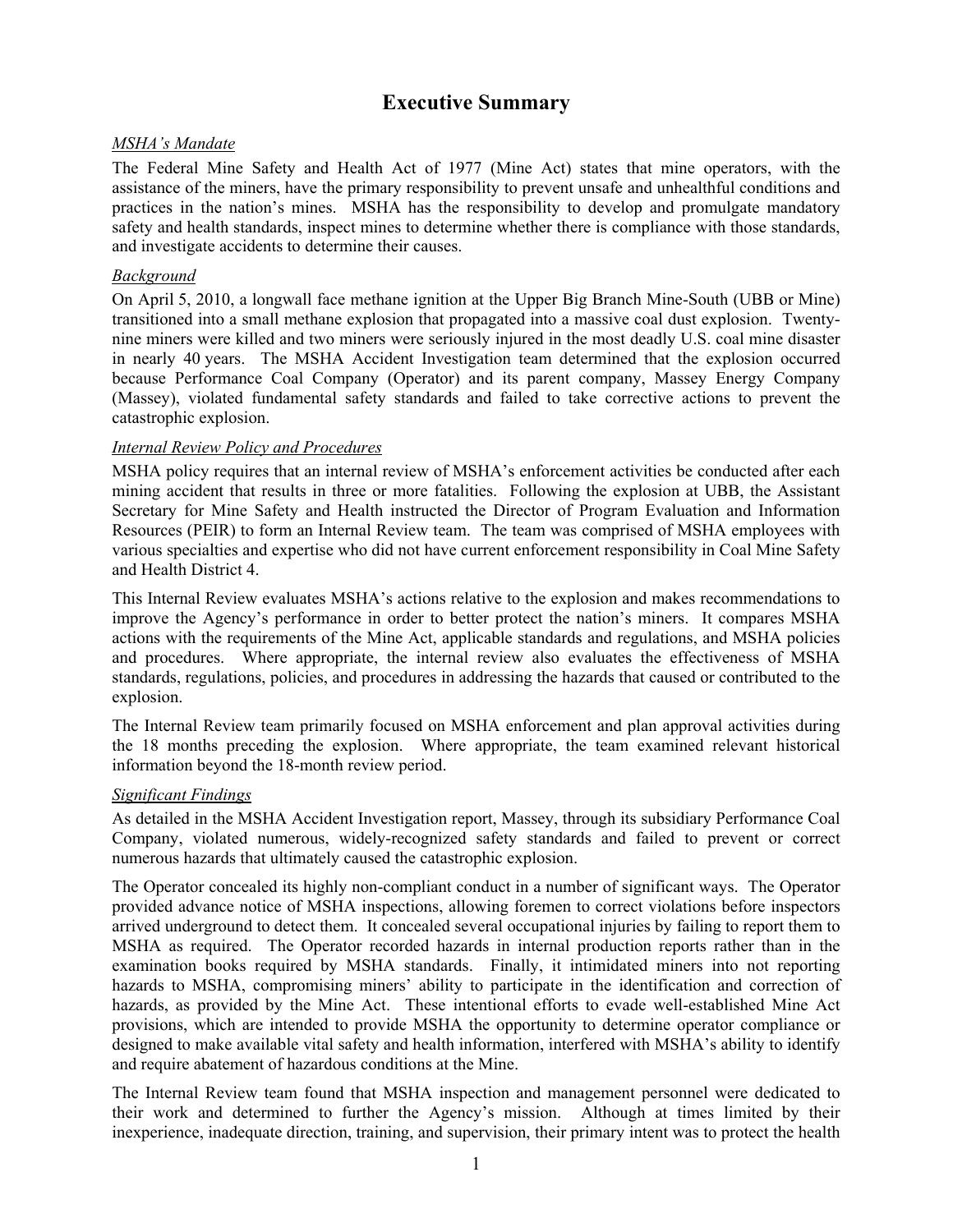### **Executive Summary**

### *MSHA's Mandate*

The Federal Mine Safety and Health Act of 1977 (Mine Act) states that mine operators, with the assistance of the miners, have the primary responsibility to prevent unsafe and unhealthful conditions and practices in the nation's mines. MSHA has the responsibility to develop and promulgate mandatory safety and health standards, inspect mines to determine whether there is compliance with those standards, and investigate accidents to determine their causes.

#### *Background*

On April 5, 2010, a longwall face methane ignition at the Upper Big Branch Mine-South (UBB or Mine) transitioned into a small methane explosion that propagated into a massive coal dust explosion. Twentynine miners were killed and two miners were seriously injured in the most deadly U.S. coal mine disaster in nearly 40 years. The MSHA Accident Investigation team determined that the explosion occurred because Performance Coal Company (Operator) and its parent company, Massey Energy Company (Massey), violated fundamental safety standards and failed to take corrective actions to prevent the catastrophic explosion.

#### *Internal Review Policy and Procedures*

MSHA policy requires that an internal review of MSHA's enforcement activities be conducted after each mining accident that results in three or more fatalities. Following the explosion at UBB, the Assistant Secretary for Mine Safety and Health instructed the Director of Program Evaluation and Information Resources (PEIR) to form an Internal Review team. The team was comprised of MSHA employees with various specialties and expertise who did not have current enforcement responsibility in Coal Mine Safety and Health District 4.

This Internal Review evaluates MSHA's actions relative to the explosion and makes recommendations to improve the Agency's performance in order to better protect the nation's miners. It compares MSHA actions with the requirements of the Mine Act, applicable standards and regulations, and MSHA policies and procedures. Where appropriate, the internal review also evaluates the effectiveness of MSHA standards, regulations, policies, and procedures in addressing the hazards that caused or contributed to the explosion.

The Internal Review team primarily focused on MSHA enforcement and plan approval activities during the 18 months preceding the explosion. Where appropriate, the team examined relevant historical information beyond the 18-month review period.

### *Significant Findings*

As detailed in the MSHA Accident Investigation report, Massey, through its subsidiary Performance Coal Company, violated numerous, widely-recognized safety standards and failed to prevent or correct numerous hazards that ultimately caused the catastrophic explosion.

The Operator concealed its highly non-compliant conduct in a number of significant ways. The Operator provided advance notice of MSHA inspections, allowing foremen to correct violations before inspectors arrived underground to detect them. It concealed several occupational injuries by failing to report them to MSHA as required. The Operator recorded hazards in internal production reports rather than in the examination books required by MSHA standards. Finally, it intimidated miners into not reporting hazards to MSHA, compromising miners' ability to participate in the identification and correction of hazards, as provided by the Mine Act. These intentional efforts to evade well-established Mine Act provisions, which are intended to provide MSHA the opportunity to determine operator compliance or designed to make available vital safety and health information, interfered with MSHA's ability to identify and require abatement of hazardous conditions at the Mine.

The Internal Review team found that MSHA inspection and management personnel were dedicated to their work and determined to further the Agency's mission. Although at times limited by their inexperience, inadequate direction, training, and supervision, their primary intent was to protect the health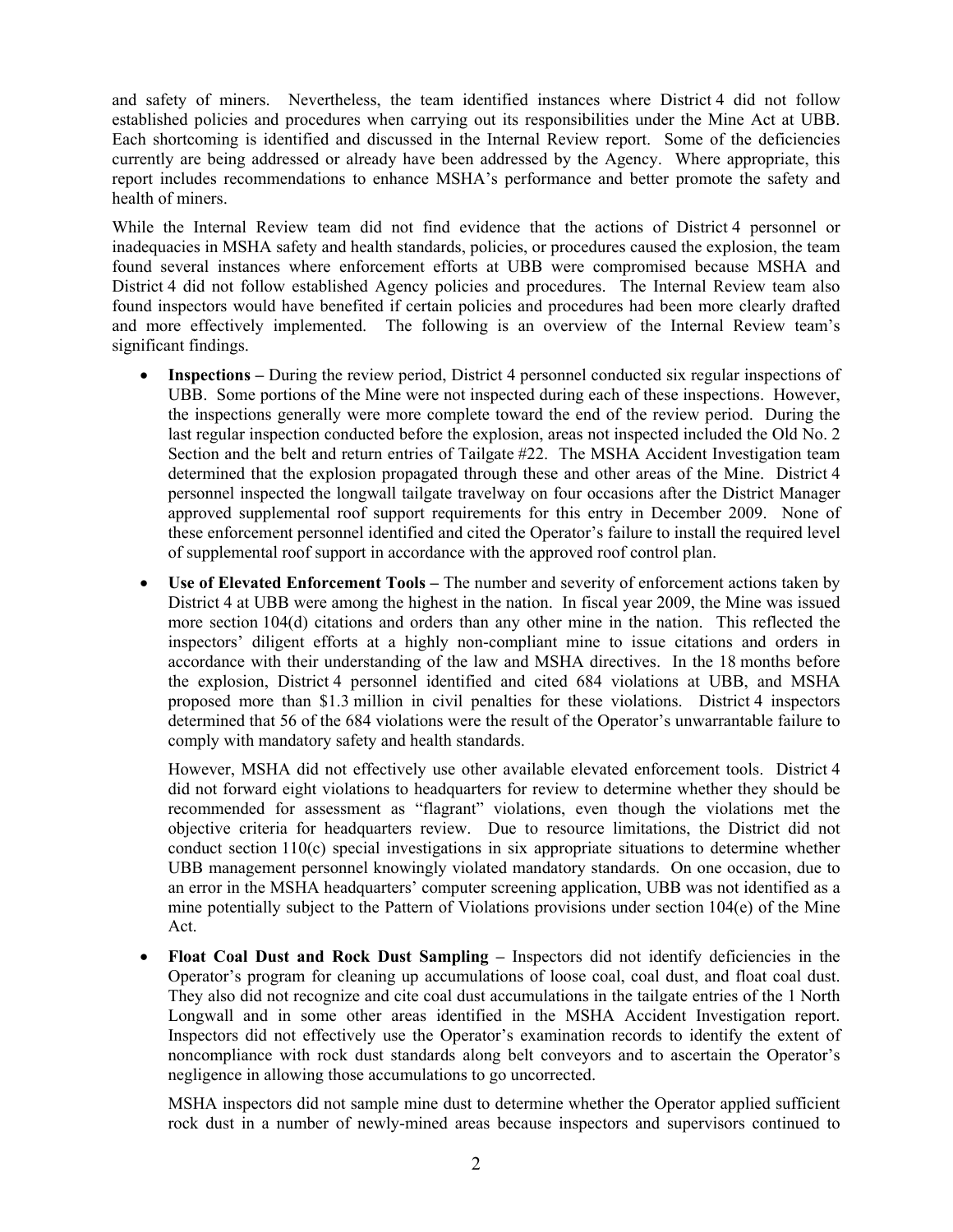and safety of miners. Nevertheless, the team identified instances where District 4 did not follow established policies and procedures when carrying out its responsibilities under the Mine Act at UBB. Each shortcoming is identified and discussed in the Internal Review report. Some of the deficiencies currently are being addressed or already have been addressed by the Agency. Where appropriate, this report includes recommendations to enhance MSHA's performance and better promote the safety and health of miners.

While the Internal Review team did not find evidence that the actions of District 4 personnel or inadequacies in MSHA safety and health standards, policies, or procedures caused the explosion, the team found several instances where enforcement efforts at UBB were compromised because MSHA and District 4 did not follow established Agency policies and procedures. The Internal Review team also found inspectors would have benefited if certain policies and procedures had been more clearly drafted and more effectively implemented. The following is an overview of the Internal Review team's significant findings.

- **Inspections –** During the review period, District 4 personnel conducted six regular inspections of UBB. Some portions of the Mine were not inspected during each of these inspections. However, the inspections generally were more complete toward the end of the review period. During the last regular inspection conducted before the explosion, areas not inspected included the Old No. 2 Section and the belt and return entries of Tailgate #22. The MSHA Accident Investigation team determined that the explosion propagated through these and other areas of the Mine. District 4 personnel inspected the longwall tailgate travelway on four occasions after the District Manager approved supplemental roof support requirements for this entry in December 2009. None of these enforcement personnel identified and cited the Operator's failure to install the required level of supplemental roof support in accordance with the approved roof control plan.
- **Use of Elevated Enforcement Tools –** The number and severity of enforcement actions taken by District 4 at UBB were among the highest in the nation. In fiscal year 2009, the Mine was issued more section 104(d) citations and orders than any other mine in the nation. This reflected the inspectors' diligent efforts at a highly non-compliant mine to issue citations and orders in accordance with their understanding of the law and MSHA directives. In the 18 months before the explosion, District 4 personnel identified and cited 684 violations at UBB, and MSHA proposed more than \$1.3 million in civil penalties for these violations. District 4 inspectors determined that 56 of the 684 violations were the result of the Operator's unwarrantable failure to comply with mandatory safety and health standards.

However, MSHA did not effectively use other available elevated enforcement tools. District 4 did not forward eight violations to headquarters for review to determine whether they should be recommended for assessment as "flagrant" violations, even though the violations met the objective criteria for headquarters review. Due to resource limitations, the District did not conduct section 110(c) special investigations in six appropriate situations to determine whether UBB management personnel knowingly violated mandatory standards. On one occasion, due to an error in the MSHA headquarters' computer screening application, UBB was not identified as a mine potentially subject to the Pattern of Violations provisions under section  $104(e)$  of the Mine Act.

 **Float Coal Dust and Rock Dust Sampling –** Inspectors did not identify deficiencies in the Operator's program for cleaning up accumulations of loose coal, coal dust, and float coal dust. They also did not recognize and cite coal dust accumulations in the tailgate entries of the 1 North Longwall and in some other areas identified in the MSHA Accident Investigation report. Inspectors did not effectively use the Operator's examination records to identify the extent of noncompliance with rock dust standards along belt conveyors and to ascertain the Operator's negligence in allowing those accumulations to go uncorrected.

MSHA inspectors did not sample mine dust to determine whether the Operator applied sufficient rock dust in a number of newly-mined areas because inspectors and supervisors continued to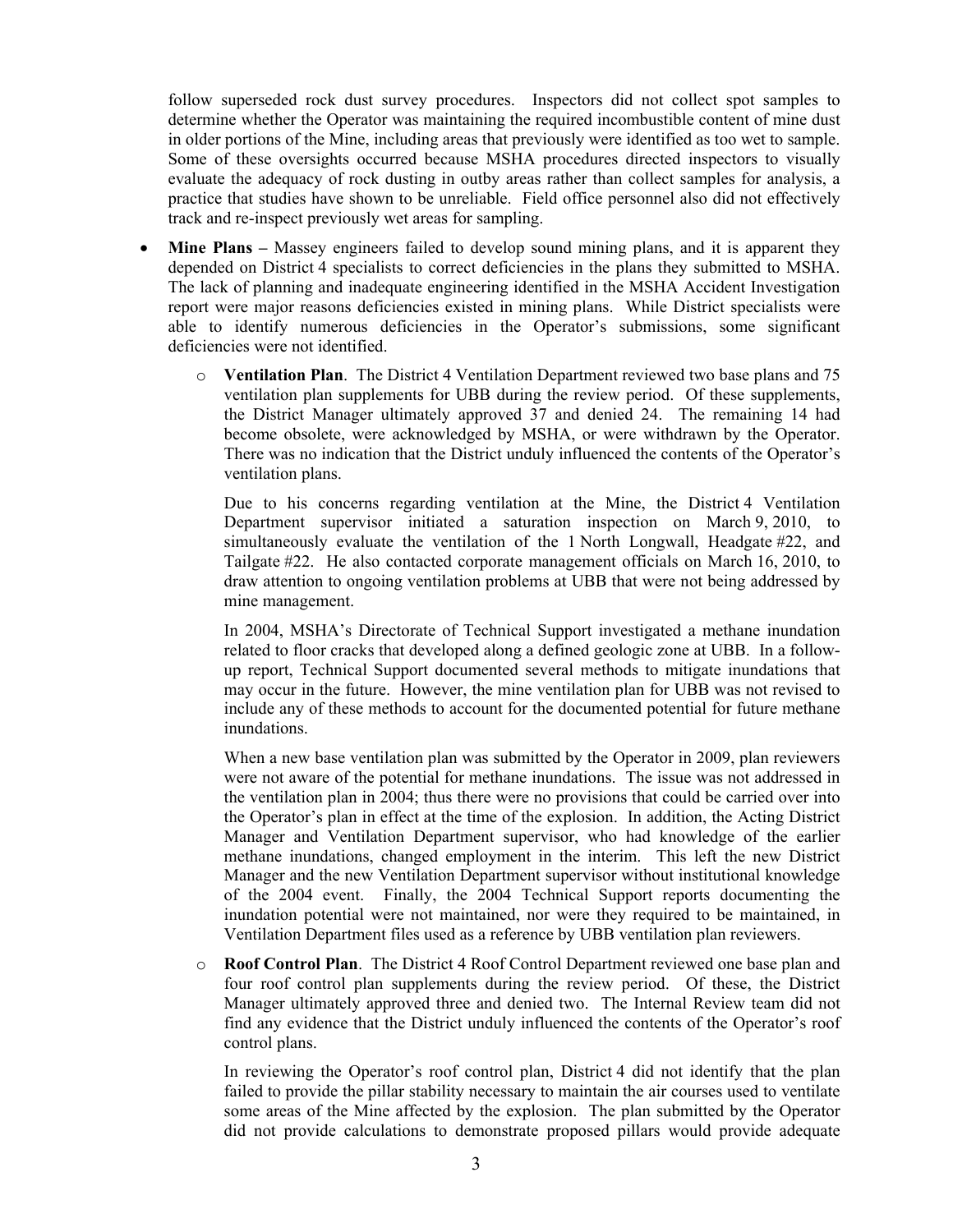follow superseded rock dust survey procedures. Inspectors did not collect spot samples to determine whether the Operator was maintaining the required incombustible content of mine dust in older portions of the Mine, including areas that previously were identified as too wet to sample. Some of these oversights occurred because MSHA procedures directed inspectors to visually evaluate the adequacy of rock dusting in outby areas rather than collect samples for analysis, a practice that studies have shown to be unreliable. Field office personnel also did not effectively track and re-inspect previously wet areas for sampling.

- **Mine Plans –** Massey engineers failed to develop sound mining plans, and it is apparent they depended on District 4 specialists to correct deficiencies in the plans they submitted to MSHA. The lack of planning and inadequate engineering identified in the MSHA Accident Investigation report were major reasons deficiencies existed in mining plans. While District specialists were able to identify numerous deficiencies in the Operator's submissions, some significant deficiencies were not identified.
	- o **Ventilation Plan**. The District 4 Ventilation Department reviewed two base plans and 75 ventilation plan supplements for UBB during the review period. Of these supplements, the District Manager ultimately approved 37 and denied 24. The remaining 14 had become obsolete, were acknowledged by MSHA, or were withdrawn by the Operator. There was no indication that the District unduly influenced the contents of the Operator's ventilation plans.

Due to his concerns regarding ventilation at the Mine, the District 4 Ventilation Department supervisor initiated a saturation inspection on March 9, 2010, to simultaneously evaluate the ventilation of the 1 North Longwall, Headgate #22, and Tailgate #22. He also contacted corporate management officials on March 16, 2010, to draw attention to ongoing ventilation problems at UBB that were not being addressed by mine management.

In 2004, MSHA's Directorate of Technical Support investigated a methane inundation related to floor cracks that developed along a defined geologic zone at UBB. In a followup report, Technical Support documented several methods to mitigate inundations that may occur in the future. However, the mine ventilation plan for UBB was not revised to include any of these methods to account for the documented potential for future methane inundations.

When a new base ventilation plan was submitted by the Operator in 2009, plan reviewers were not aware of the potential for methane inundations. The issue was not addressed in the ventilation plan in 2004; thus there were no provisions that could be carried over into the Operator's plan in effect at the time of the explosion. In addition, the Acting District Manager and Ventilation Department supervisor, who had knowledge of the earlier methane inundations, changed employment in the interim. This left the new District Manager and the new Ventilation Department supervisor without institutional knowledge of the 2004 event. Finally, the 2004 Technical Support reports documenting the inundation potential were not maintained, nor were they required to be maintained, in Ventilation Department files used as a reference by UBB ventilation plan reviewers.

o **Roof Control Plan**. The District 4 Roof Control Department reviewed one base plan and four roof control plan supplements during the review period. Of these, the District Manager ultimately approved three and denied two. The Internal Review team did not find any evidence that the District unduly influenced the contents of the Operator's roof control plans.

In reviewing the Operator's roof control plan, District 4 did not identify that the plan failed to provide the pillar stability necessary to maintain the air courses used to ventilate some areas of the Mine affected by the explosion. The plan submitted by the Operator did not provide calculations to demonstrate proposed pillars would provide adequate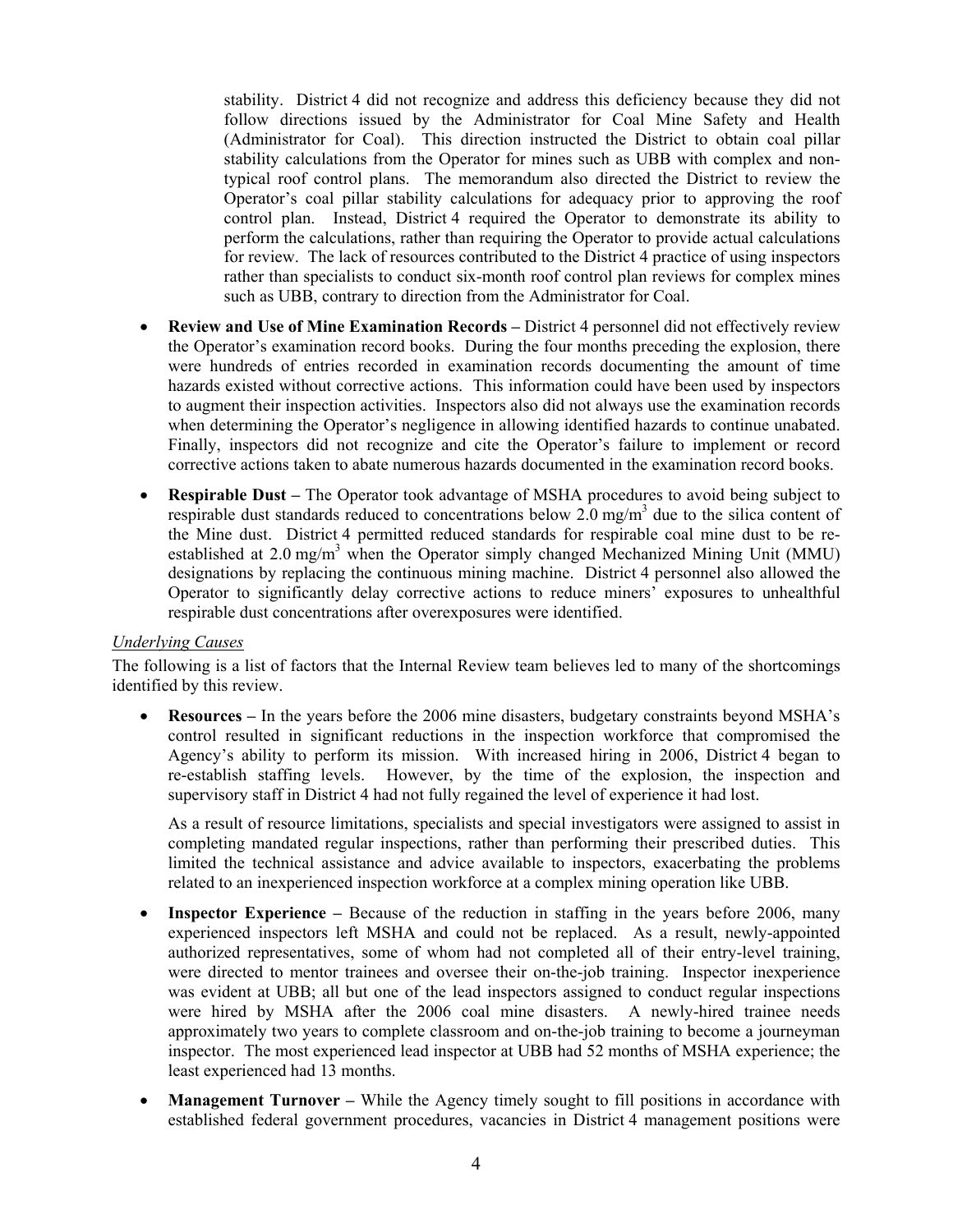stability. District 4 did not recognize and address this deficiency because they did not follow directions issued by the Administrator for Coal Mine Safety and Health (Administrator for Coal). This direction instructed the District to obtain coal pillar stability calculations from the Operator for mines such as UBB with complex and nontypical roof control plans. The memorandum also directed the District to review the Operator's coal pillar stability calculations for adequacy prior to approving the roof control plan. Instead, District 4 required the Operator to demonstrate its ability to perform the calculations, rather than requiring the Operator to provide actual calculations for review. The lack of resources contributed to the District 4 practice of using inspectors rather than specialists to conduct six-month roof control plan reviews for complex mines such as UBB, contrary to direction from the Administrator for Coal.

- **Review and Use of Mine Examination Records** District 4 personnel did not effectively review the Operator's examination record books. During the four months preceding the explosion, there were hundreds of entries recorded in examination records documenting the amount of time hazards existed without corrective actions. This information could have been used by inspectors to augment their inspection activities. Inspectors also did not always use the examination records when determining the Operator's negligence in allowing identified hazards to continue unabated. Finally, inspectors did not recognize and cite the Operator's failure to implement or record corrective actions taken to abate numerous hazards documented in the examination record books.
- **Respirable Dust** The Operator took advantage of MSHA procedures to avoid being subject to respirable dust standards reduced to concentrations below  $2.0 \text{ mg/m}^3$  due to the silica content of the Mine dust. District 4 permitted reduced standards for respirable coal mine dust to be reestablished at 2.0 mg/m<sup>3</sup> when the Operator simply changed Mechanized Mining Unit (MMU) designations by replacing the continuous mining machine. District 4 personnel also allowed the Operator to significantly delay corrective actions to reduce miners' exposures to unhealthful respirable dust concentrations after overexposures were identified.

#### *Underlying Causes*

The following is a list of factors that the Internal Review team believes led to many of the shortcomings identified by this review.

 **Resources –** In the years before the 2006 mine disasters, budgetary constraints beyond MSHA's control resulted in significant reductions in the inspection workforce that compromised the Agency's ability to perform its mission. With increased hiring in 2006, District 4 began to re-establish staffing levels. However, by the time of the explosion, the inspection and supervisory staff in District 4 had not fully regained the level of experience it had lost.

As a result of resource limitations, specialists and special investigators were assigned to assist in completing mandated regular inspections, rather than performing their prescribed duties. This limited the technical assistance and advice available to inspectors, exacerbating the problems related to an inexperienced inspection workforce at a complex mining operation like UBB.

- **Inspector Experience** Because of the reduction in staffing in the years before 2006, many experienced inspectors left MSHA and could not be replaced. As a result, newly-appointed authorized representatives, some of whom had not completed all of their entry-level training, were directed to mentor trainees and oversee their on-the-job training. Inspector inexperience was evident at UBB; all but one of the lead inspectors assigned to conduct regular inspections were hired by MSHA after the 2006 coal mine disasters. A newly-hired trainee needs approximately two years to complete classroom and on-the-job training to become a journeyman inspector. The most experienced lead inspector at UBB had 52 months of MSHA experience; the least experienced had 13 months.
- **Management Turnover** While the Agency timely sought to fill positions in accordance with established federal government procedures, vacancies in District 4 management positions were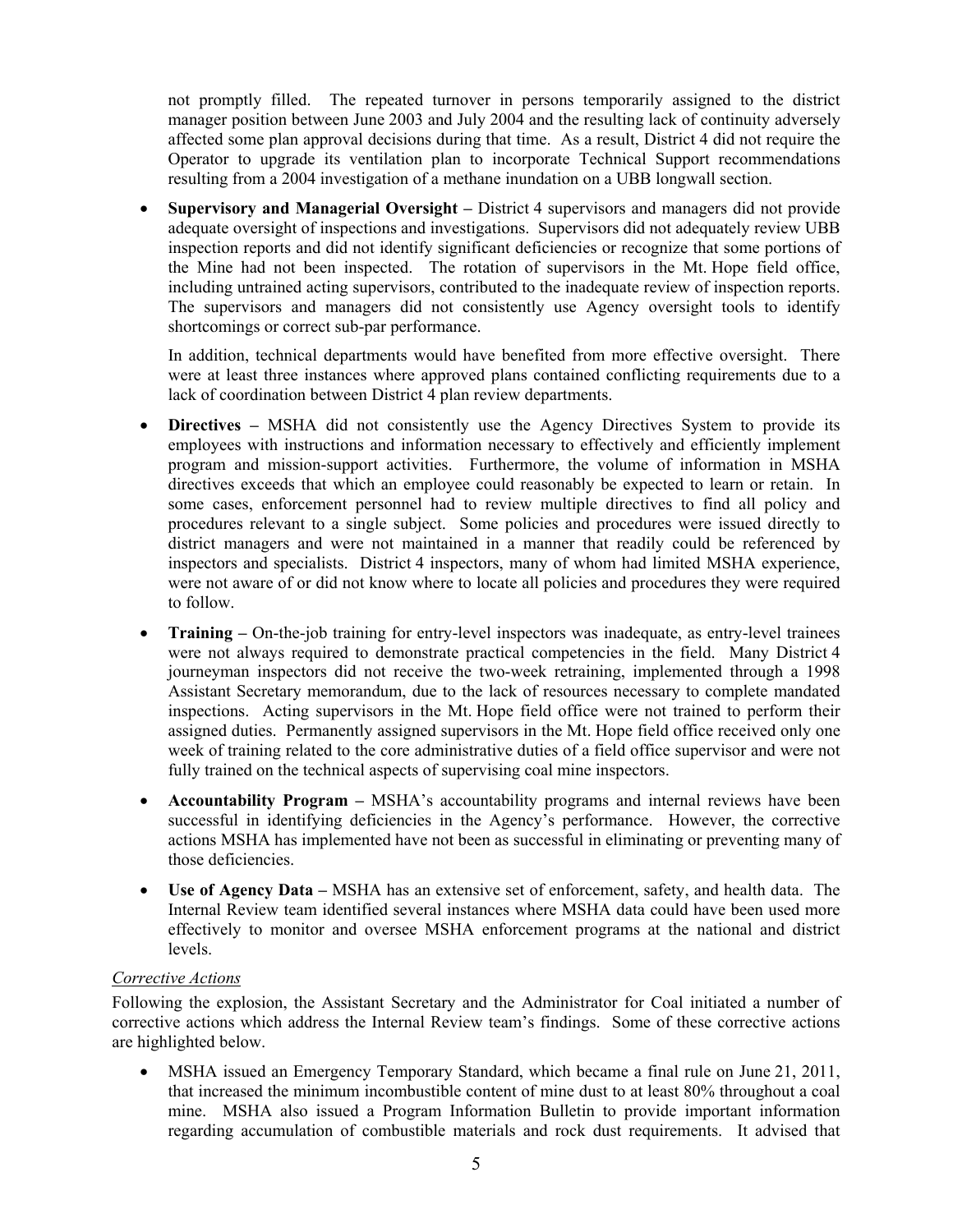not promptly filled. The repeated turnover in persons temporarily assigned to the district manager position between June 2003 and July 2004 and the resulting lack of continuity adversely affected some plan approval decisions during that time. As a result, District 4 did not require the Operator to upgrade its ventilation plan to incorporate Technical Support recommendations resulting from a 2004 investigation of a methane inundation on a UBB longwall section.

 **Supervisory and Managerial Oversight –** District 4 supervisors and managers did not provide adequate oversight of inspections and investigations. Supervisors did not adequately review UBB inspection reports and did not identify significant deficiencies or recognize that some portions of the Mine had not been inspected. The rotation of supervisors in the Mt. Hope field office, including untrained acting supervisors, contributed to the inadequate review of inspection reports. The supervisors and managers did not consistently use Agency oversight tools to identify shortcomings or correct sub-par performance.

In addition, technical departments would have benefited from more effective oversight. There were at least three instances where approved plans contained conflicting requirements due to a lack of coordination between District 4 plan review departments.

- **Directives –** MSHA did not consistently use the Agency Directives System to provide its employees with instructions and information necessary to effectively and efficiently implement program and mission-support activities. Furthermore, the volume of information in MSHA directives exceeds that which an employee could reasonably be expected to learn or retain. In some cases, enforcement personnel had to review multiple directives to find all policy and procedures relevant to a single subject. Some policies and procedures were issued directly to district managers and were not maintained in a manner that readily could be referenced by inspectors and specialists. District 4 inspectors, many of whom had limited MSHA experience, were not aware of or did not know where to locate all policies and procedures they were required to follow.
- **Training** On-the-job training for entry-level inspectors was inadequate, as entry-level trainees were not always required to demonstrate practical competencies in the field. Many District 4 journeyman inspectors did not receive the two-week retraining, implemented through a 1998 Assistant Secretary memorandum, due to the lack of resources necessary to complete mandated inspections. Acting supervisors in the Mt. Hope field office were not trained to perform their assigned duties. Permanently assigned supervisors in the Mt. Hope field office received only one week of training related to the core administrative duties of a field office supervisor and were not fully trained on the technical aspects of supervising coal mine inspectors.
- **Accountability Program –** MSHA's accountability programs and internal reviews have been successful in identifying deficiencies in the Agency's performance. However, the corrective actions MSHA has implemented have not been as successful in eliminating or preventing many of those deficiencies.
- **Use of Agency Data –** MSHA has an extensive set of enforcement, safety, and health data. The Internal Review team identified several instances where MSHA data could have been used more effectively to monitor and oversee MSHA enforcement programs at the national and district levels.

### *Corrective Actions*

Following the explosion, the Assistant Secretary and the Administrator for Coal initiated a number of corrective actions which address the Internal Review team's findings. Some of these corrective actions are highlighted below.

 MSHA issued an Emergency Temporary Standard, which became a final rule on June 21, 2011, that increased the minimum incombustible content of mine dust to at least 80% throughout a coal mine. MSHA also issued a Program Information Bulletin to provide important information regarding accumulation of combustible materials and rock dust requirements. It advised that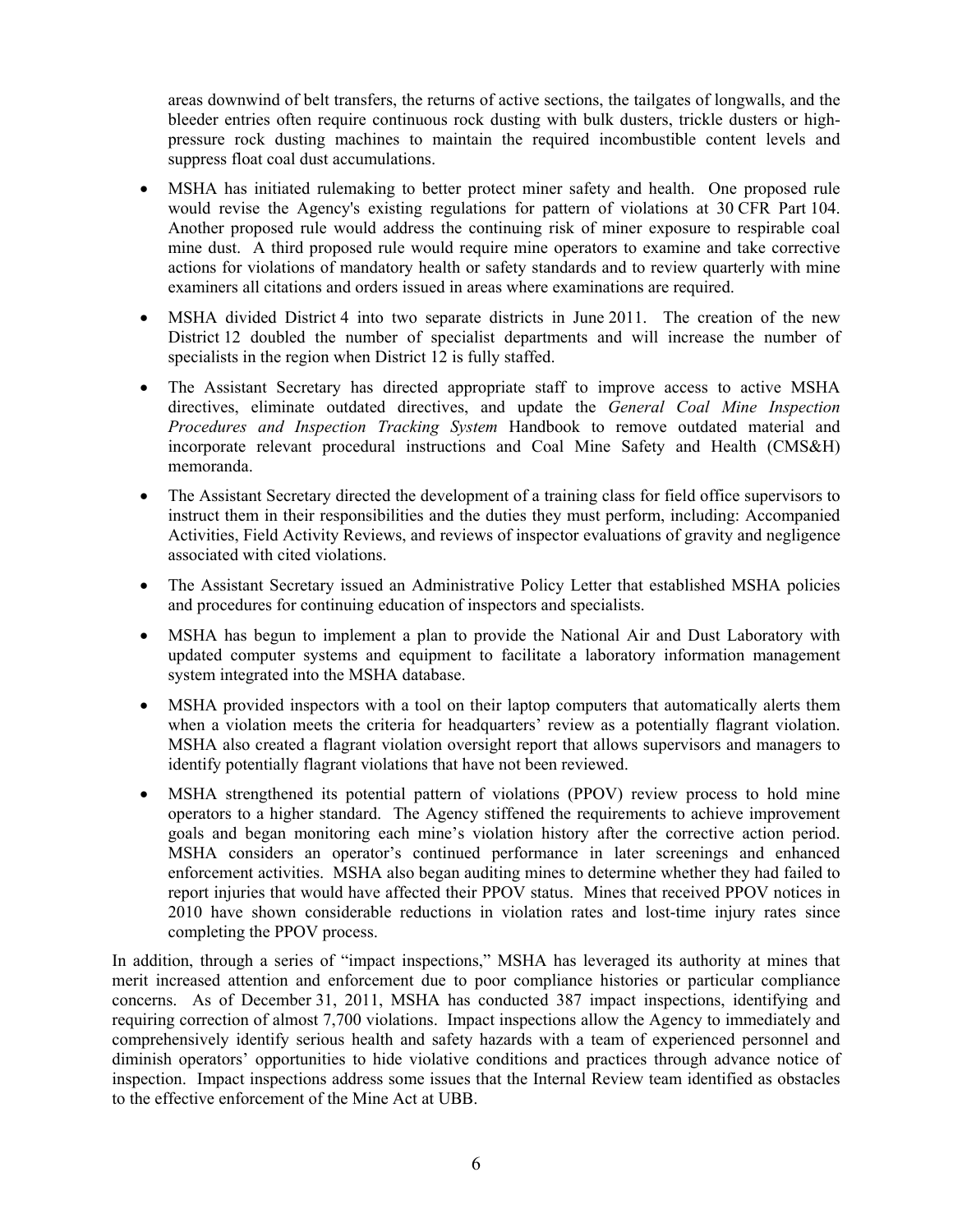areas downwind of belt transfers, the returns of active sections, the tailgates of longwalls, and the bleeder entries often require continuous rock dusting with bulk dusters, trickle dusters or highpressure rock dusting machines to maintain the required incombustible content levels and suppress float coal dust accumulations.

- MSHA has initiated rulemaking to better protect miner safety and health. One proposed rule would revise the Agency's existing regulations for pattern of violations at 30 CFR Part 104. Another proposed rule would address the continuing risk of miner exposure to respirable coal mine dust. A third proposed rule would require mine operators to examine and take corrective actions for violations of mandatory health or safety standards and to review quarterly with mine examiners all citations and orders issued in areas where examinations are required.
- MSHA divided District 4 into two separate districts in June 2011. The creation of the new District 12 doubled the number of specialist departments and will increase the number of specialists in the region when District 12 is fully staffed.
- The Assistant Secretary has directed appropriate staff to improve access to active MSHA directives, eliminate outdated directives, and update the *General Coal Mine Inspection Procedures and Inspection Tracking System* Handbook to remove outdated material and incorporate relevant procedural instructions and Coal Mine Safety and Health (CMS&H) memoranda.
- The Assistant Secretary directed the development of a training class for field office supervisors to instruct them in their responsibilities and the duties they must perform, including: Accompanied Activities, Field Activity Reviews, and reviews of inspector evaluations of gravity and negligence associated with cited violations.
- The Assistant Secretary issued an Administrative Policy Letter that established MSHA policies and procedures for continuing education of inspectors and specialists.
- MSHA has begun to implement a plan to provide the National Air and Dust Laboratory with updated computer systems and equipment to facilitate a laboratory information management system integrated into the MSHA database.
- MSHA provided inspectors with a tool on their laptop computers that automatically alerts them when a violation meets the criteria for headquarters' review as a potentially flagrant violation. MSHA also created a flagrant violation oversight report that allows supervisors and managers to identify potentially flagrant violations that have not been reviewed.
- MSHA strengthened its potential pattern of violations (PPOV) review process to hold mine operators to a higher standard. The Agency stiffened the requirements to achieve improvement goals and began monitoring each mine's violation history after the corrective action period. MSHA considers an operator's continued performance in later screenings and enhanced enforcement activities. MSHA also began auditing mines to determine whether they had failed to report injuries that would have affected their PPOV status. Mines that received PPOV notices in 2010 have shown considerable reductions in violation rates and lost-time injury rates since completing the PPOV process.

In addition, through a series of "impact inspections," MSHA has leveraged its authority at mines that merit increased attention and enforcement due to poor compliance histories or particular compliance concerns. As of December 31, 2011, MSHA has conducted 387 impact inspections, identifying and requiring correction of almost 7,700 violations. Impact inspections allow the Agency to immediately and comprehensively identify serious health and safety hazards with a team of experienced personnel and diminish operators' opportunities to hide violative conditions and practices through advance notice of inspection. Impact inspections address some issues that the Internal Review team identified as obstacles to the effective enforcement of the Mine Act at UBB.